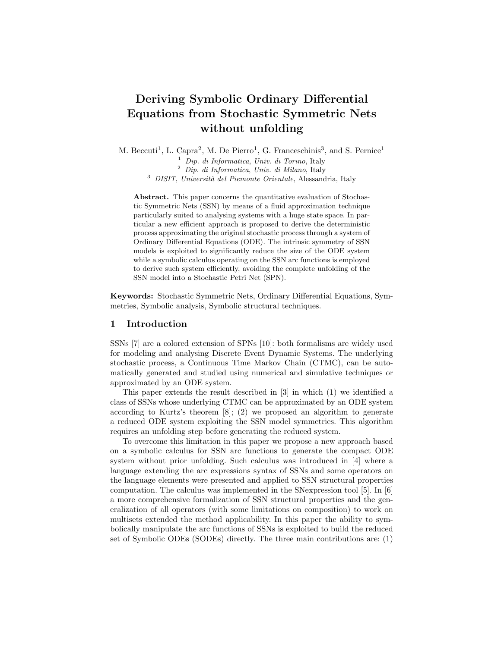# Deriving Symbolic Ordinary Differential Equations from Stochastic Symmetric Nets without unfolding

M. Beccuti<sup>1</sup>, L. Capra<sup>2</sup>, M. De Pierro<sup>1</sup>, G. Franceschinis<sup>3</sup>, and S. Pernice<sup>1</sup>

 $<sup>1</sup>$  Dip. di Informatica, Univ. di Torino, Italy</sup>

<sup>2</sup> Dip. di Informatica, Univ. di Milano, Italy

 $3$  DISIT, Università del Piemonte Orientale, Alessandria, Italy

Abstract. This paper concerns the quantitative evaluation of Stochastic Symmetric Nets (SSN) by means of a fluid approximation technique particularly suited to analysing systems with a huge state space. In particular a new efficient approach is proposed to derive the deterministic process approximating the original stochastic process through a system of Ordinary Differential Equations (ODE). The intrinsic symmetry of SSN models is exploited to significantly reduce the size of the ODE system while a symbolic calculus operating on the SSN arc functions is employed to derive such system efficiently, avoiding the complete unfolding of the SSN model into a Stochastic Petri Net (SPN).

Keywords: Stochastic Symmetric Nets, Ordinary Differential Equations, Symmetries, Symbolic analysis, Symbolic structural techniques.

## 1 Introduction

SSNs [7] are a colored extension of SPNs [10]: both formalisms are widely used for modeling and analysing Discrete Event Dynamic Systems. The underlying stochastic process, a Continuous Time Markov Chain (CTMC), can be automatically generated and studied using numerical and simulative techniques or approximated by an ODE system.

This paper extends the result described in [3] in which (1) we identified a class of SSNs whose underlying CTMC can be approximated by an ODE system according to Kurtz's theorem [8]; (2) we proposed an algorithm to generate a reduced ODE system exploiting the SSN model symmetries. This algorithm requires an unfolding step before generating the reduced system.

To overcome this limitation in this paper we propose a new approach based on a symbolic calculus for SSN arc functions to generate the compact ODE system without prior unfolding. Such calculus was introduced in [4] where a language extending the arc expressions syntax of SSNs and some operators on the language elements were presented and applied to SSN structural properties computation. The calculus was implemented in the SNexpression tool [5]. In [6] a more comprehensive formalization of SSN structural properties and the generalization of all operators (with some limitations on composition) to work on multisets extended the method applicability. In this paper the ability to symbolically manipulate the arc functions of SSNs is exploited to build the reduced set of Symbolic ODEs (SODEs) directly. The three main contributions are: (1)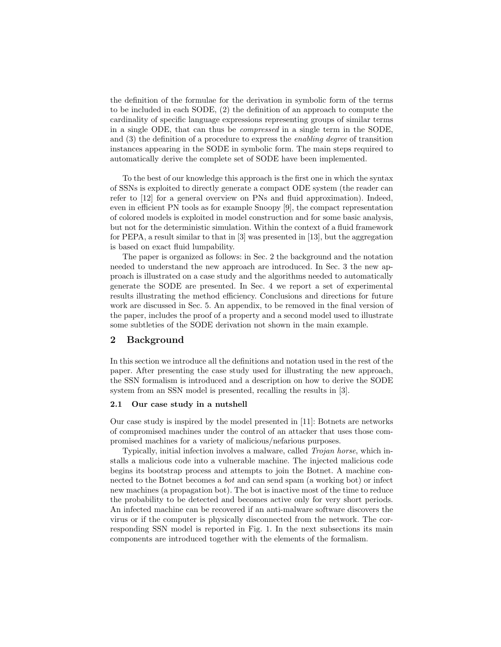the definition of the formulae for the derivation in symbolic form of the terms to be included in each SODE, (2) the definition of an approach to compute the cardinality of specific language expressions representing groups of similar terms in a single ODE, that can thus be compressed in a single term in the SODE, and (3) the definition of a procedure to express the enabling degree of transition instances appearing in the SODE in symbolic form. The main steps required to automatically derive the complete set of SODE have been implemented.

To the best of our knowledge this approach is the first one in which the syntax of SSNs is exploited to directly generate a compact ODE system (the reader can refer to [12] for a general overview on PNs and fluid approximation). Indeed, even in efficient PN tools as for example Snoopy [9], the compact representation of colored models is exploited in model construction and for some basic analysis, but not for the deterministic simulation. Within the context of a fluid framework for PEPA, a result similar to that in [3] was presented in [13], but the aggregation is based on exact fluid lumpability.

The paper is organized as follows: in Sec. 2 the background and the notation needed to understand the new approach are introduced. In Sec. 3 the new approach is illustrated on a case study and the algorithms needed to automatically generate the SODE are presented. In Sec. 4 we report a set of experimental results illustrating the method efficiency. Conclusions and directions for future work are discussed in Sec. 5. An appendix, to be removed in the final version of the paper, includes the proof of a property and a second model used to illustrate some subtleties of the SODE derivation not shown in the main example.

#### 2 Background

In this section we introduce all the definitions and notation used in the rest of the paper. After presenting the case study used for illustrating the new approach, the SSN formalism is introduced and a description on how to derive the SODE system from an SSN model is presented, recalling the results in [3].

#### 2.1 Our case study in a nutshell

Our case study is inspired by the model presented in [11]: Botnets are networks of compromised machines under the control of an attacker that uses those compromised machines for a variety of malicious/nefarious purposes.

Typically, initial infection involves a malware, called Trojan horse, which installs a malicious code into a vulnerable machine. The injected malicious code begins its bootstrap process and attempts to join the Botnet. A machine connected to the Botnet becomes a bot and can send spam (a working bot) or infect new machines (a propagation bot). The bot is inactive most of the time to reduce the probability to be detected and becomes active only for very short periods. An infected machine can be recovered if an anti-malware software discovers the virus or if the computer is physically disconnected from the network. The corresponding SSN model is reported in Fig. 1. In the next subsections its main components are introduced together with the elements of the formalism.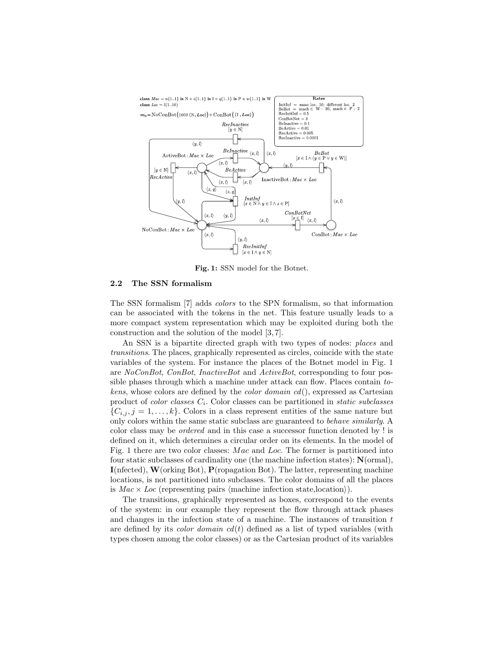

Fig. 1: SSN model for the Botnet.

#### 2.2 The SSN formalism

The SSN formalism [7] adds colors to the SPN formalism, so that information can be associated with the tokens in the net. This feature usually leads to a more compact system representation which may be exploited during both the construction and the solution of the model [3, 7].

An SSN is a bipartite directed graph with two types of nodes: places and transitions. The places, graphically represented as circles, coincide with the state variables of the system. For instance the places of the Botnet model in Fig. 1 are NoConBot, ConBot, InactiveBot and ActiveBot, corresponding to four possible phases through which a machine under attack can flow. Places contain tokens, whose colors are defined by the *color domain cd*(), expressed as Cartesian product of *color classes*  $C_i$ . Color classes can be partitioned in *static subclasses*  $\{C_{i,j}, j=1,\ldots,k\}$ . Colors in a class represent entities of the same nature but only colors within the same static subclass are guaranteed to behave similarly. A color class may be ordered and in this case a successor function denoted by ! is defined on it, which determines a circular order on its elements. In the model of Fig. 1 there are two color classes: Mac and Loc. The former is partitioned into four static subclasses of cardinality one (the machine infection states): N(ormal),  $I(nfected), W(orking Bot), P(ropagation Bot).$  The latter, representing machine locations, is not partitioned into subclasses. The color domains of all the places is  $Mac \times Loc$  (representing pairs (machine infection state, location)).

The transitions, graphically represented as boxes, correspond to the events of the system: in our example they represent the flow through attack phases and changes in the infection state of a machine. The instances of transition  $t$ are defined by its *color domain*  $cd(t)$  defined as a list of typed variables (with types chosen among the color classes) or as the Cartesian product of its variables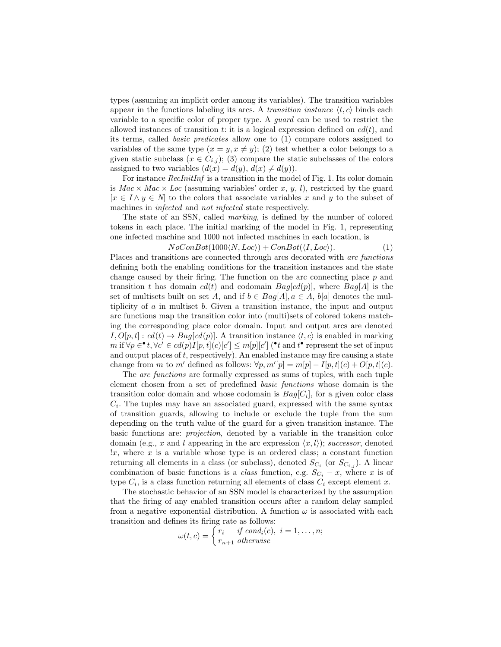types (assuming an implicit order among its variables). The transition variables appear in the functions labeling its arcs. A transition instance  $\langle t, c \rangle$  binds each variable to a specific color of proper type. A guard can be used to restrict the allowed instances of transition t: it is a logical expression defined on  $cd(t)$ , and its terms, called basic predicates allow one to (1) compare colors assigned to variables of the same type  $(x = y, x \neq y)$ ; (2) test whether a color belongs to a given static subclass ( $x \in C_{i,j}$ ); (3) compare the static subclasses of the colors assigned to two variables  $(d(x) = d(y), d(x) \neq d(y)).$ 

For instance *RecInitInf* is a transition in the model of Fig. 1. Its color domain is  $Mac \times Mac \times Loc$  (assuming variables' order x, y, l), restricted by the guard  $[x \in I \wedge y \in N]$  to the colors that associate variables x and y to the subset of machines in infected and not infected state respectively.

The state of an SSN, called marking, is defined by the number of colored tokens in each place. The initial marking of the model in Fig. 1, representing one infected machine and 1000 not infected machines in each location, is

$$
NoConBot(1000\langle N, Loc \rangle) + ConBot(\langle I, Loc \rangle). \tag{1}
$$

Places and transitions are connected through arcs decorated with arc functions defining both the enabling conditions for the transition instances and the state change caused by their firing. The function on the arc connecting place  $p$  and transition t has domain  $cd(t)$  and codomain  $Bag[cd(p)]$ , where  $Bag[A]$  is the set of multisets built on set A, and if  $b \in Bag[A], a \in A$ ,  $b[a]$  denotes the multiplicity of a in multiset b. Given a transition instance, the input and output arc functions map the transition color into (multi)sets of colored tokens matching the corresponding place color domain. Input and output arcs are denoted  $I, O[p, t] : cd(t) \rightarrow Bag[cd(p)]$ . A transition instance  $\langle t, c \rangle$  is enabled in marking m if  $\forall p \in \mathbf{P}^*$ ,  $\forall c' \in cd(p)I[p, t](c)[c'] \le m[p][c']$  ( $\mathbf{P}^*$  and  $t^{\bullet}$  represent the set of input and output places of  $t$ , respectively). An enabled instance may fire causing a state change from m to m' defined as follows:  $\forall p, m'[p] = m[p] - I[p, t](c) + O[p, t](c)$ .

The *arc functions* are formally expressed as sums of tuples, with each tuple element chosen from a set of predefined basic functions whose domain is the transition color domain and whose codomain is  $Bag[C_i]$ , for a given color class  $C_i$ . The tuples may have an associated guard, expressed with the same syntax of transition guards, allowing to include or exclude the tuple from the sum depending on the truth value of the guard for a given transition instance. The basic functions are: projection, denoted by a variable in the transition color domain (e.g., x and l appearing in the arc expression  $\langle x, l \rangle$ ); successor, denoted  $\alpha$ , where x is a variable whose type is an ordered class; a constant function returning all elements in a class (or subclass), denoted  $S_{C_i}$  (or  $S_{C_{i,j}}$ ). A linear combination of basic functions is a *class* function, e.g.  $S_{C_i} - x$ , where x is of type  $C_i$ , is a class function returning all elements of class  $C_i$  except element x.

The stochastic behavior of an SSN model is characterized by the assumption that the firing of any enabled transition occurs after a random delay sampled from a negative exponential distribution. A function  $\omega$  is associated with each transition and defines its firing rate as follows:

$$
\omega(t,c) = \begin{cases} r_i & \text{if } cond_i(c), \ i = 1, \dots, n; \\ r_{n+1} & \text{otherwise} \end{cases}
$$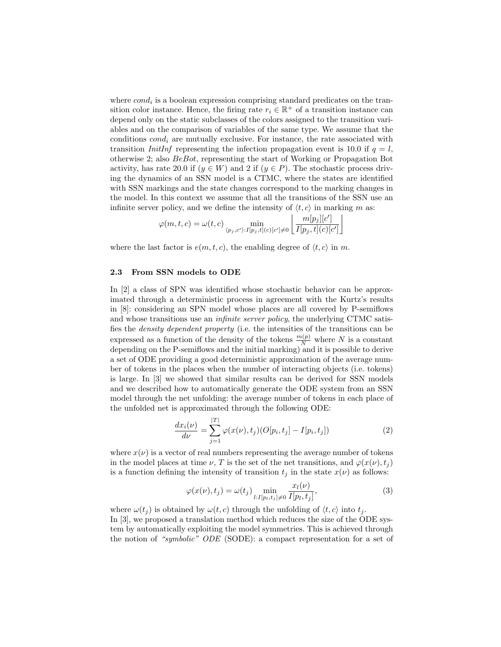where  $cond_i$  is a boolean expression comprising standard predicates on the transition color instance. Hence, the firing rate  $r_i \in \mathbb{R}^+$  of a transition instance can depend only on the static subclasses of the colors assigned to the transition variables and on the comparison of variables of the same type. We assume that the conditions  $cond_i$  are mutually exclusive. For instance, the rate associated with transition InitInf representing the infection propagation event is 10.0 if  $q = l$ , otherwise 2; also BeBot, representing the start of Working or Propagation Bot activity, has rate 20.0 if  $(y \in W)$  and 2 if  $(y \in P)$ . The stochastic process driving the dynamics of an SSN model is a CTMC, where the states are identified with SSN markings and the state changes correspond to the marking changes in the model. In this context we assume that all the transitions of the SSN use an infinite server policy, and we define the intensity of  $\langle t, c \rangle$  in marking m as:

$$
\varphi(m,t,c) = \omega(t,c) \min_{\langle p_j,c' \rangle: I[p_j,t](c)[c'] \neq 0} \left\lfloor \frac{m[p_j][c']}{I[p_j,t](c)[c']}\right\rfloor
$$

where the last factor is  $e(m, t, c)$ , the enabling degree of  $\langle t, c \rangle$  in m.

#### 2.3 From SSN models to ODE

In [2] a class of SPN was identified whose stochastic behavior can be approximated through a deterministic process in agreement with the Kurtz's results in [8]: considering an SPN model whose places are all covered by P-semiflows and whose transitions use an *infinite server policy*, the underlying CTMC satisfies the density dependent property (i.e. the intensities of the transitions can be expressed as a function of the density of the tokens  $\frac{m(p)}{N}$  where N is a constant depending on the P-semiflows and the initial marking) and it is possible to derive a set of ODE providing a good deterministic approximation of the average number of tokens in the places when the number of interacting objects (i.e. tokens) is large. In [3] we showed that similar results can be derived for SSN models and we described how to automatically generate the ODE system from an SSN model through the net unfolding: the average number of tokens in each place of the unfolded net is approximated through the following ODE:

$$
\frac{dx_i(\nu)}{d\nu} = \sum_{j=1}^{|T|} \varphi(x(\nu), t_j) (O[p_i, t_j] - I[p_i, t_j])
$$
\n(2)

where  $x(\nu)$  is a vector of real numbers representing the average number of tokens in the model places at time  $\nu$ , T is the set of the net transitions, and  $\varphi(x(\nu), t_i)$ is a function defining the intensity of transition  $t_j$  in the state  $x(\nu)$  as follows:

$$
\varphi(x(\nu), t_j) = \omega(t_j) \min_{l:I[p_l, t_j] \neq 0} \frac{x_l(\nu)}{I[p_l, t_j]},
$$
\n(3)

where  $\omega(t_i)$  is obtained by  $\omega(t, c)$  through the unfolding of  $\langle t, c \rangle$  into  $t_i$ . In [3], we proposed a translation method which reduces the size of the ODE system by automatically exploiting the model symmetries. This is achieved through the notion of "symbolic" ODE (SODE): a compact representation for a set of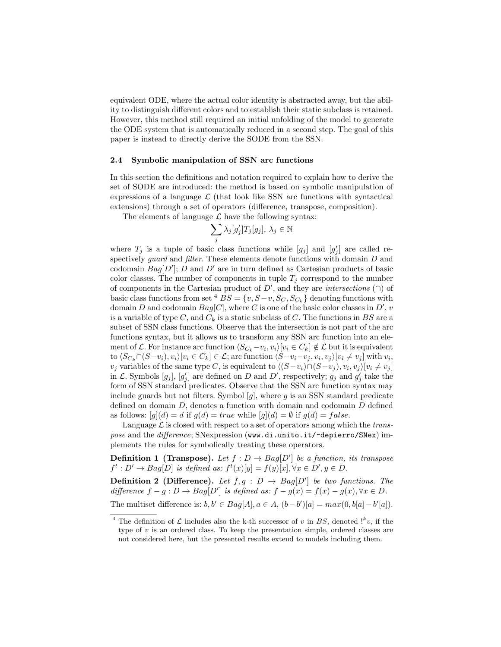equivalent ODE, where the actual color identity is abstracted away, but the ability to distinguish different colors and to establish their static subclass is retained. However, this method still required an initial unfolding of the model to generate the ODE system that is automatically reduced in a second step. The goal of this paper is instead to directly derive the SODE from the SSN.

#### 2.4 Symbolic manipulation of SSN arc functions

In this section the definitions and notation required to explain how to derive the set of SODE are introduced: the method is based on symbolic manipulation of expressions of a language  $\mathcal L$  (that look like SSN arc functions with syntactical extensions) through a set of operators (difference, transpose, composition).

The elements of language  $\mathcal L$  have the following syntax:

$$
\sum_j \lambda_j [g'_j] T_j [g_j], \lambda_j \in \mathbb{N}
$$

where  $T_j$  is a tuple of basic class functions while  $[g_j]$  and  $[g'_j]$  are called respectively *guard* and *filter*. These elements denote functions with domain D and codomain  $Bag[D']$ ; D and D' are in turn defined as Cartesian products of basic color classes. The number of components in tuple  $T_j$  correspond to the number of components in the Cartesian product of  $D'$ , and they are *intersections* ( $\cap$ ) of basic class functions from set <sup>4</sup>  $BS = \{v, S-v, S_C, S_{C_k}\}\$  denoting functions with domain D and codomain  $Bag[C]$ , where C is one of the basic color classes in D', v is a variable of type C, and  $C_k$  is a static subclass of C. The functions in BS are a subset of SSN class functions. Observe that the intersection is not part of the arc functions syntax, but it allows us to transform any SSN arc function into an element of L. For instance arc function  $\langle S_{C_k}-v_i,v_i\rangle[v_i\in C_k]\notin \mathcal{L}$  but it is equivalent to  $\langle S_{C_k} \cap (S-v_i), v_i \rangle [v_i \in C_k] \in \mathcal{L}$ ; arc function  $\langle S-v_i-v_j, v_i, v_j \rangle [v_i \neq v_j]$  with  $v_i$ ,  $v_j$  variables of the same type C, is equivalent to  $\langle (S-v_i) \cap (S-v_j), v_i, v_j \rangle [v_i \neq v_j]$ in  $\mathcal{L}$ . Symbols  $[g_j]$ ,  $[g'_j]$  are defined on D and D', respectively;  $g_j$  and  $g'_j$  take the form of SSN standard predicates. Observe that the SSN arc function syntax may include guards but not filters. Symbol  $[g]$ , where g is an SSN standard predicate defined on domain D, denotes a function with domain and codomain D defined as follows:  $[g](d) = d$  if  $g(d) = true$  while  $[g](d) = \emptyset$  if  $g(d) = false$ .

Language  $\mathcal L$  is closed with respect to a set of operators among which the transpose and the difference; SNexpression (www.di.unito.it/~depierro/SNex) implements the rules for symbolically treating these operators.

**Definition 1 (Transpose).** Let  $f: D \to Bag[D']$  be a function, its transpose  $f^t: D' \to Bag[D]$  is defined as:  $f^t(x)[y] = f(y)[x], \forall x \in D', y \in D$ .

**Definition 2 (Difference).** Let  $f, g : D \rightarrow Bag[D']$  be two functions. The difference  $f - g : D \to Bag[D']$  is defined as:  $f - g(x) = f(x) - g(x), \forall x \in D$ . The multiset difference is:  $b, b' \in Bag[A], a \in A, (b - b')[a] = max(0, b[a] - b'[a]).$ 

<sup>&</sup>lt;sup>4</sup> The definition of  $\mathcal L$  includes also the k-th successor of v in BS, denoted  $!^k v$ , if the type of  $v$  is an ordered class. To keep the presentation simple, ordered classes are not considered here, but the presented results extend to models including them.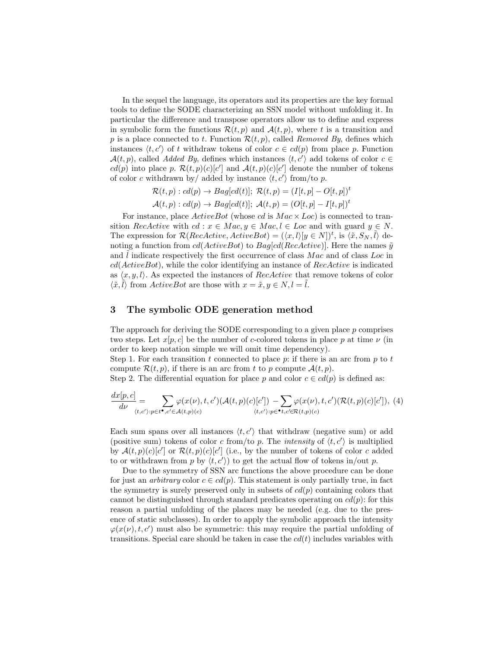In the sequel the language, its operators and its properties are the key formal tools to define the SODE characterizing an SSN model without unfolding it. In particular the difference and transpose operators allow us to define and express in symbolic form the functions  $\mathcal{R}(t, p)$  and  $\mathcal{A}(t, p)$ , where t is a transition and p is a place connected to t. Function  $\mathcal{R}(t, p)$ , called Removed By, defines which instances  $\langle t, c' \rangle$  of t withdraw tokens of color  $c \in cd(p)$  from place p. Function  $\mathcal{A}(t, p)$ , called Added By, defines which instances  $\langle t, c' \rangle$  add tokens of color  $c \in$  $cd(p)$  into place p.  $\mathcal{R}(t, p)(c)[c']$  and  $\mathcal{A}(t, p)(c)[c']$  denote the number of tokens of color c withdrawn by/ added by instance  $\langle t, c' \rangle$  from/to p.

$$
\mathcal{R}(t, p) : cd(p) \to Bag[cd(t)]; \mathcal{R}(t, p) = (I[t, p] - O[t, p])^t
$$

$$
\mathcal{A}(t, p) : cd(p) \to Bag[cd(t)]; \mathcal{A}(t, p) = (O[t, p] - I[t, p])^t
$$

For instance, place  $ActiveBot$  (whose cd is  $Mac \times Loc$ ) is connected to transition RecActive with  $cd : x \in Mac, y \in Mac, l \in Loc$  and with guard  $y \in N$ . The expression for  $\mathcal{R}(RecActive, ActiveBot) = (\langle x, l \rangle [y \in N])^t$ , is  $\langle \tilde{x}, S_N, \tilde{l} \rangle$  denoting a function from  $cd(ActiveBot)$  to  $Bag[cd(RecActive)]$ . Here the names  $\tilde{y}$ and  $l$  indicate respectively the first occurrence of class  $Mac$  and of class  $Loc$  in  $cd(ActiveBot)$ , while the color identifying an instance of  $RecActive$  is indicated as  $\langle x, y, l \rangle$ . As expected the instances of *RecActive* that remove tokens of color  $\langle \tilde{x}, \tilde{l} \rangle$  from ActiveBot are those with  $x = \tilde{x}, y \in N, l = \tilde{l}$ .

# 3 The symbolic ODE generation method

The approach for deriving the SODE corresponding to a given place p comprises two steps. Let  $x[p, c]$  be the number of c-colored tokens in place p at time  $\nu$  (in order to keep notation simple we will omit time dependency).

Step 1. For each transition t connected to place  $p$ : if there is an arc from  $p$  to  $t$ compute  $\mathcal{R}(t, p)$ , if there is an arc from t to p compute  $\mathcal{A}(t, p)$ .

Step 2. The differential equation for place p and color  $c \in cd(p)$  is defined as:

$$
\frac{dx[p,c]}{d\nu} = \sum_{\langle t,c' \rangle: p \in t^\bullet, c' \in \mathcal{A}(t,p)(c)} \varphi(x(\nu), t, c')(\mathcal{A}(t, p)(c)[c']) - \sum_{\langle t,c' \rangle: p \in^\bullet t, c' \in \mathcal{R}(t,p)(c)} \varphi(x(\nu), t, c')(\mathcal{R}(t, p)(c)[c']), \tag{4}
$$

Each sum spans over all instances  $\langle t, c' \rangle$  that withdraw (negative sum) or add (positive sum) tokens of color c from/to p. The *intensity* of  $\langle t, c' \rangle$  is multiplied by  $\mathcal{A}(t,p)(c)[c']$  or  $\mathcal{R}(t,p)(c)[c']$  (i.e., by the number of tokens of color c added to or withdrawn from p by  $\langle t, c' \rangle$  to get the actual flow of tokens in/out p.

Due to the symmetry of SSN arc functions the above procedure can be done for just an *arbitrary* color  $c \in cd(p)$ . This statement is only partially true, in fact the symmetry is surely preserved only in subsets of  $cd(p)$  containing colors that cannot be distinguished through standard predicates operating on  $cd(p)$ : for this reason a partial unfolding of the places may be needed (e.g. due to the presence of static subclasses). In order to apply the symbolic approach the intensity  $\varphi(x(\nu), t, c')$  must also be symmetric: this may require the partial unfolding of transitions. Special care should be taken in case the  $cd(t)$  includes variables with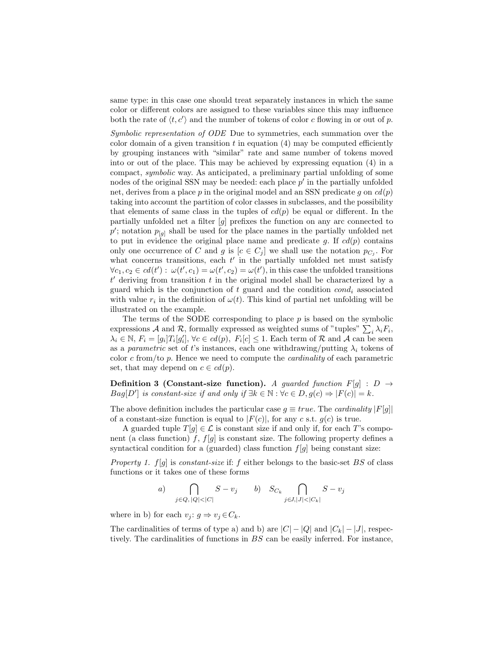same type: in this case one should treat separately instances in which the same color or different colors are assigned to these variables since this may influence both the rate of  $\langle t, c' \rangle$  and the number of tokens of color c flowing in or out of p.

Symbolic representation of ODE Due to symmetries, each summation over the color domain of a given transition  $t$  in equation  $(4)$  may be computed efficiently by grouping instances with "similar" rate and same number of tokens moved into or out of the place. This may be achieved by expressing equation (4) in a compact, symbolic way. As anticipated, a preliminary partial unfolding of some nodes of the original SSN may be needed: each place  $p'$  in the partially unfolded net, derives from a place p in the original model and an SSN predicate q on  $cd(p)$ taking into account the partition of color classes in subclasses, and the possibility that elements of same class in the tuples of  $cd(p)$  be equal or different. In the partially unfolded net a filter [g] prefixes the function on any arc connected to  $p'$ ; notation  $p_{[g]}$  shall be used for the place names in the partially unfolded net to put in evidence the original place name and predicate g. If  $cd(p)$  contains only one occurrence of C and g is  $[c \in C_j]$  we shall use the notation  $p_{C_j}$ . For what concerns transitions, each  $t'$  in the partially unfolded net must satisfy  $\forall c_1, c_2 \in \text{cd}(t') : \omega(t', c_1) = \omega(t', c_2) = \omega(t')$ , in this case the unfolded transitions  $t'$  deriving from transition  $t$  in the original model shall be characterized by a guard which is the conjunction of t guard and the condition  $cond_i$  associated with value  $r_i$  in the definition of  $\omega(t)$ . This kind of partial net unfolding will be illustrated on the example.

The terms of the SODE corresponding to place  $p$  is based on the symbolic expressions A and R, formally expressed as weighted sums of "tuples"  $\sum_i \lambda_i F_i$ ,  $\lambda_i \in \mathbb{N}, F_i = [g_i]T_i[g'_i], \forall c \in cl(p), F_i[c] \leq 1.$  Each term of R and A can be seen as a parametric set of t's instances, each one withdrawing/putting  $\lambda_i$  tokens of color  $c$  from/to  $p$ . Hence we need to compute the *cardinality* of each parametric set, that may depend on  $c \in cd(p)$ .

**Definition 3 (Constant-size function).** A quarded function  $F[q]$  :  $D \rightarrow$  $Bag[D']$  is constant-size if and only if  $\exists k \in \mathbb{N} : \forall c \in D, g(c) \Rightarrow |F(c)| = k$ .

The above definition includes the particular case  $g \equiv true$ . The *cardinality*  $|F[g]|$ of a constant-size function is equal to  $|F(c)|$ , for any c s.t.  $g(c)$  is true.

A guarded tuple  $T[q] \in \mathcal{L}$  is constant size if and only if, for each T's component (a class function) f,  $f[g]$  is constant size. The following property defines a syntactical condition for a (guarded) class function  $f[g]$  being constant size:

Property 1.  $f[g]$  is constant-size if: f either belongs to the basic-set BS of class functions or it takes one of these forms

a) 
$$
\bigcap_{j \in Q, |Q| < |C|} S - v_j \qquad b) \quad S_{C_k} \bigcap_{j \in J, |J| < |C_k|} S - v_j
$$

where in b) for each  $v_j: g \Rightarrow v_j \in C_k$ .

The cardinalities of terms of type a) and b) are  $|C| - |Q|$  and  $|C_k| - |J|$ , respectively. The cardinalities of functions in BS can be easily inferred. For instance,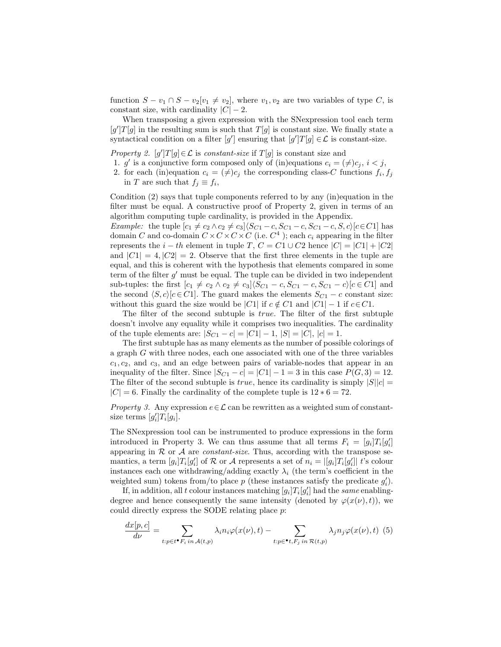function  $S - v_1 \cap S - v_2[v_1 \neq v_2]$ , where  $v_1, v_2$  are two variables of type C, is constant size, with cardinality  $|C| - 2$ .

When transposing a given expression with the SNexpression tool each term  $[g']T[g]$  in the resulting sum is such that  $T[g]$  is constant size. We finally state a syntactical condition on a filter  $[g']$  ensuring that  $[g']T[g] \in \mathcal{L}$  is constant-size.

Property 2.  $[g']T[g] \in \mathcal{L}$  is constant-size if  $T[g]$  is constant size and

- 1. g' is a conjunctive form composed only of (in)equations  $c_i = (\neq)c_j, i < j$ ,
- 2. for each (in)equation  $c_i = (\neq) c_j$  the corresponding class-C functions  $f_i, f_j$ in T are such that  $f_j \equiv f_i$ ,

Condition (2) says that tuple components referred to by any (in)equation in the filter must be equal. A constructive proof of Property 2, given in terms of an algorithm computing tuple cardinality, is provided in the Appendix.

*Example:* the tuple  $[c_1 \neq c_2 \land c_2 \neq c_3]$  $(S_{C1} - c, S_{C1} - c, S_{C1} - c, S, c)$  $[c \in C1]$  has domain C and co-domain  $C \times C \times C \times C$  (i.e.  $C<sup>4</sup>$ ); each  $c_i$  appearing in the filter represents the  $i - th$  element in tuple T,  $C = C1 \cup C2$  hence  $|C| = |C1| + |C2|$ and  $|C1| = 4, |C2| = 2$ . Observe that the first three elements in the tuple are equal, and this is coherent with the hypothesis that elements compared in some term of the filter  $g'$  must be equal. The tuple can be divided in two independent sub-tuples: the first  $[c_1 \neq c_2 \land c_2 \neq c_3]$  $(S_{C1} - c, S_{C1} - c, S_{C1} - c)$  $[c \in C1]$  and the second  $\langle S, c \rangle [c \in C1]$ . The guard makes the elements  $S_{C1} - c$  constant size: without this guard the size would be |C1| if  $c \notin C1$  and  $|C1| - 1$  if  $c \in C1$ .

The filter of the second subtuple is true. The filter of the first subtuple doesn't involve any equality while it comprises two inequalities. The cardinality of the tuple elements are:  $|S_{C1} - c| = |C1| - 1$ ,  $|S| = |C|$ ,  $|c| = 1$ .

The first subtuple has as many elements as the number of possible colorings of a graph G with three nodes, each one associated with one of the three variables  $c_1, c_2$ , and  $c_3$ , and an edge between pairs of variable-nodes that appear in an inequality of the filter. Since  $|S_{C1} - c| = |C1| - 1 = 3$  in this case  $P(G, 3) = 12$ . The filter of the second subtuple is *true*, hence its cardinality is simply  $|S||c|$  $|C| = 6$ . Finally the cardinality of the complete tuple is  $12 * 6 = 72$ .

*Property 3.* Any expression  $e \in \mathcal{L}$  can be rewritten as a weighted sum of constantsize terms  $[g'_i]T_i[g_i].$ 

The SNexpression tool can be instrumented to produce expressions in the form introduced in Property 3. We can thus assume that all terms  $F_i = [g_i]T_i[g'_i]$ appearing in  $R$  or  $A$  are *constant-size*. Thus, according with the transpose semantics, a term  $[g_i]T_i[g'_i]$  of  $R$  or  $A$  represents a set of  $n_i = |[g_i]T_i[g'_i]|$  t's colour instances each one withdrawing/adding exactly  $\lambda_i$  (the term's coefficient in the weighted sum) tokens from/to place  $p$  (these instances satisfy the predicate  $g'_{i}$ ).

If, in addition, all t colour instances matching  $[g_i]T_i[g'_i]$  had the same enablingdegree and hence consequently the same intensity (denoted by  $\varphi(x(\nu), t)$ ), we could directly express the SODE relating place  $p$ :

$$
\frac{dx[p,c]}{d\nu} = \sum_{t:p\in t^{\bullet}F_i \text{ in } \mathcal{A}(t,p)} \lambda_i n_i \varphi(x(\nu),t) - \sum_{t:p\in \bullet} \sum_{t,F_j \text{ in } \mathcal{R}(t,p)} \lambda_j n_j \varphi(x(\nu),t) \tag{5}
$$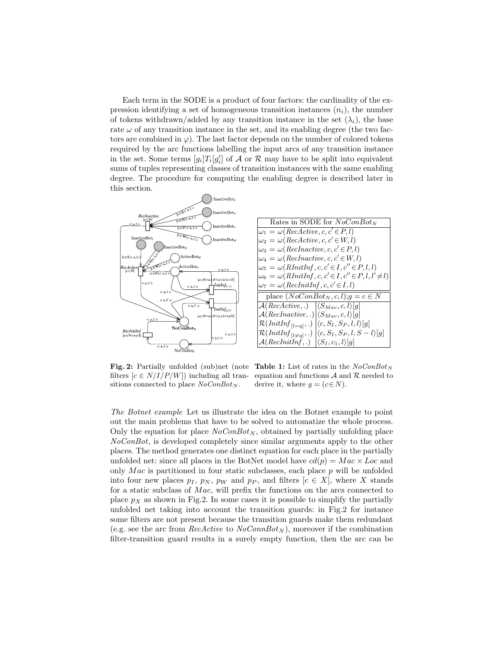Each term in the SODE is a product of four factors: the cardinality of the expression identifying a set of homogeneous transition instances  $(n_i)$ , the number of tokens withdrawn/added by any transition instance in the set  $(\lambda_i)$ , the base rate  $\omega$  of any transition instance in the set, and its enabling degree (the two factors are combined in  $\varphi$ ). The last factor depends on the number of colored tokens required by the arc functions labelling the input arcs of any transition instance in the set. Some terms  $[g_i]T_i[g'_i]$  of  $\mathcal A$  or  $\mathcal R$  may have to be split into equivalent sums of tuples representing classes of transition instances with the same enabling degree. The procedure for computing the enabling degree is described later in this section.



| Rates in SODE for $NoConBot_N$                                                  |
|---------------------------------------------------------------------------------|
| $\omega_1 = \omega(RecActive, c, c' \in P, l)$                                  |
| $\omega_2 = \omega(ReActive, c, c' \in W, l)$                                   |
| $\omega_3 = \omega(RecInactive, c, c' \in P, l)$                                |
| $\omega_4 = \omega(RecInactive, c, c' \in W, l)$                                |
| $\omega_5 = \omega(RInitInf, c, c' \in I, c'' \in P, l, l)$                     |
| $\omega_6 = \omega(RInitInf, c, c' \in I, c'' \in P, l, l' \neq l)$             |
| $\omega_7 = \omega(\text{RecInitInf}, c, c' \in I, l)$                          |
| place $(NoConBot_N, c, l); g = c \in N$                                         |
| $\mathcal{A}(RecActive, .) \quad  \langle S_{Mac}, c, l \rangle[g]$             |
| $\mathcal{A}(RecInactive, .) \langle S_{Mac}, c, l\rangle[g]$                   |
| $\mathcal{R}(InitInf_{[l=q]},.)   \langle c, S_I, S_P, l, l \rangle [g]$        |
| $\mathcal{R}(InitInf_{[l \neq q]},.)   \langle c, S_I, S_P, l, S-l \rangle [g]$ |
| $\mathcal{A}(RecInitInf, .) \  \langle S_I, c_1, l \rangle[g]$                  |

**Fig. 2:** Partially unfolded (sub)net (note Table 1: List of rates in the  $NoConBot<sub>N</sub>$ filters  $[c \in N/I/P/W]$  including all transitions connected to place  $NoConBot_N$ .

equation and functions  $A$  and  $R$  needed to derive it, where  $g = (c \in N)$ .

The Botnet example Let us illustrate the idea on the Botnet example to point out the main problems that have to be solved to automatize the whole process. Only the equation for place  $NoConBot_N$ , obtained by partially unfolding place NoConBot, is developed completely since similar arguments apply to the other places. The method generates one distinct equation for each place in the partially unfolded net: since all places in the BotNet model have  $cd(p) = Mac \times Loc$  and only Mac is partitioned in four static subclasses, each place  $p$  will be unfolded into four new places  $p_1$ ,  $p_N$ ,  $p_W$  and  $p_P$ , and filters  $[c \in X]$ , where X stands for a static subclass of  $Mac$ , will prefix the functions on the arcs connected to place  $p_X$  as shown in Fig.2. In some cases it is possible to simplify the partially unfolded net taking into account the transition guards: in Fig.2 for instance some filters are not present because the transition guards make them redundant (e.g. see the arc from RecActive to  $NoConnBot_N$ ), moreover if the combination filter-transition guard results in a surely empty function, then the arc can be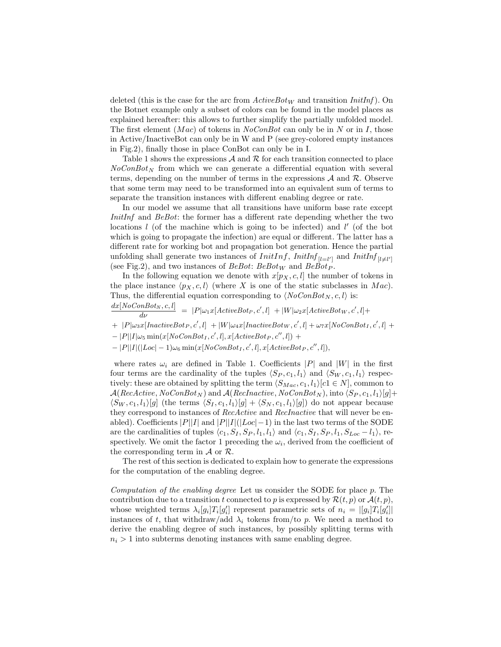deleted (this is the case for the arc from  $ActiveBot_W$  and transition  $InitInf$ ). On the Botnet example only a subset of colors can be found in the model places as explained hereafter: this allows to further simplify the partially unfolded model. The first element  $(Mac)$  of tokens in  $NoConBot$  can only be in N or in I, those in Active/InactiveBot can only be in W and P (see grey-colored empty instances in Fig.2), finally those in place ConBot can only be in I.

Table 1 shows the expressions  $\mathcal A$  and  $\mathcal R$  for each transition connected to place  $NoConBot<sub>N</sub>$  from which we can generate a differential equation with several terms, depending on the number of terms in the expressions  $A$  and  $R$ . Observe that some term may need to be transformed into an equivalent sum of terms to separate the transition instances with different enabling degree or rate.

In our model we assume that all transitions have uniform base rate except InitInf and BeBot: the former has a different rate depending whether the two locations  $l$  (of the machine which is going to be infected) and  $l'$  (of the bot which is going to propagate the infection) are equal or different. The latter has a different rate for working bot and propagation bot generation. Hence the partial unfolding shall generate two instances of  $InitInf$ ,  $InitInf_{[l=l']}$  and  $InitInf_{[l \neq l']}$ (see Fig.2), and two instances of  $BeBot: BeBot_W$  and  $BeBot_P$ .

In the following equation we denote with  $x[p_X, c, l]$  the number of tokens in the place instance  $\langle p_X, c, l \rangle$  (where X is one of the static subclasses in Mac). Thus, the differential equation corresponding to  $\langle NoConBot_N, c, l \rangle$  is:

- $\frac{dx[NoConBot_N, c, l]}{d\nu} = |P|\omega_1x[ActiveBot_P, c', l] + |W|\omega_2x[ActiveBot_W, c', l] +$
- $+$   $|P|\omega_3x[InactiveBot_P, c', l]$   $+$   $|W|\omega_4x[InactiveBot_W, c', l]$   $+$   $\omega_7x[NoConBot_I, c', l]$   $+$
- $-$  |P||I| $\omega_5$  min(x[NoConBot<sub>I</sub>, c', l], x[ActiveBot<sub>P</sub>, c'', l]) +
- $|P||I|(|Loc 1)\omega_6 \min(x[NoConBot_I, c', l], x[ActiveBot_P, c'', l]),$

where rates  $\omega_i$  are defined in Table 1. Coefficients |P| and |W| in the first four terms are the cardinality of the tuples  $\langle S_P , c_1, l_1 \rangle$  and  $\langle S_W , c_1, l_1 \rangle$  respectively: these are obtained by splitting the term  $\langle S_{Mac}, c_1, l_1 \rangle [c_1 \in N]$ , common to  $\mathcal{A}(ReActive, NoConBot_N)$  and  $\mathcal{A}(Recharacterive, NoConBot_N)$ , into  $\langle S_P , c_1 , l_1 \rangle [g]+$  $\langle S_W , c_1, l_1 \rangle [g]$  (the terms  $\langle S_I , c_1, l_1 \rangle [g] + \langle S_N , c_1, l_1 \rangle [g]$ ) do not appear because they correspond to instances of RecActive and RecInactive that will never be enabled). Coefficients  $|P||I|$  and  $|P||I|$ ( $|Loc|-1$ ) in the last two terms of the SODE are the cardinalities of tuples  $\langle c_1, S_I, S_P, l_1, l_1 \rangle$  and  $\langle c_1, S_I, S_P, l_1, S_{Loc} - l_1 \rangle$ , respectively. We omit the factor 1 preceding the  $\omega_i$ , derived from the coefficient of the corresponding term in  $A$  or  $R$ .

The rest of this section is dedicated to explain how to generate the expressions for the computation of the enabling degree.

Computation of the enabling degree Let us consider the SODE for place  $p$ . The contribution due to a transition t connected to p is expressed by  $\mathcal{R}(t, p)$  or  $\mathcal{A}(t, p)$ , whose weighted terms  $\lambda_i[g_i]T_i[g'_i]$  represent parametric sets of  $n_i = |[g_i]T_i[g'_i]|$ instances of t, that withdraw/add  $\lambda_i$  tokens from/to p. We need a method to derive the enabling degree of such instances, by possibly splitting terms with  $n_i > 1$  into subterms denoting instances with same enabling degree.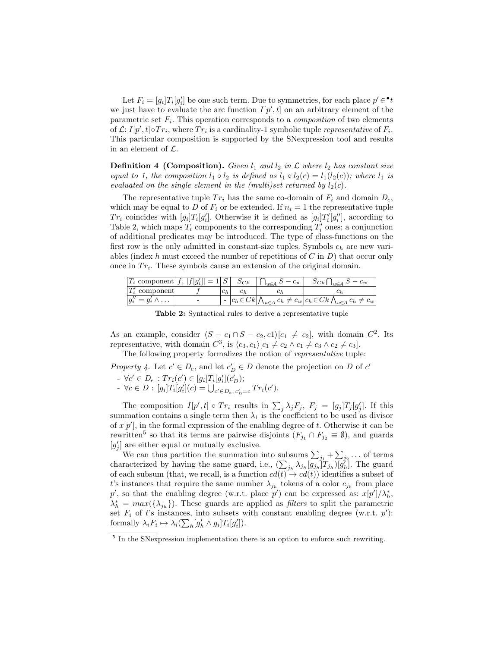Let  $F_i = [g_i]T_i[g'_i]$  be one such term. Due to symmetries, for each place  $p' \in \cdot^{\bullet} t$ we just have to evaluate the arc function  $I[p', t]$  on an arbitrary element of the parametric set  $F_i$ . This operation corresponds to a *composition* of two elements of  $\mathcal{L}: I[p', t] \circ Tr_i$ , where  $Tr_i$  is a cardinality-1 symbolic tuple *representative* of  $F_i$ . This particular composition is supported by the SNexpression tool and results in an element of  $\mathcal{L}$ .

**Definition 4 (Composition).** Given  $l_1$  and  $l_2$  in  $\mathcal L$  where  $l_2$  has constant size equal to 1, the composition  $l_1 \circ l_2$  is defined as  $l_1 \circ l_2(c) = l_1(l_2(c))$ ; where  $l_1$  is evaluated on the single element in the (multi)set returned by  $l_2(c)$ .

The representative tuple  $Tr_i$  has the same co-domain of  $F_i$  and domain  $D_e$ , which may be equal to D of  $F_i$  or be extended. If  $n_i = 1$  the representative tuple  $Tr_i$  coincides with  $[g_i]T_i[g'_i]$ . Otherwise it is defined as  $[g_i]T_i'[g''_i]$ , according to Table 2, which maps  $T_i$  components to the corresponding  $T'_i$  ones; a conjunction of additional predicates may be introduced. The type of class-functions on the first row is the only admitted in constant-size tuples. Symbols  $c_h$  are new variables (index h must exceed the number of repetitions of  $C$  in  $D$ ) that occur only once in  $Tr_i$ . These symbols cause an extension of the original domain.

| $ T_i \text{ component }  f,  f[g_i]  = 1 S  \quad S_{Ck}$ |       | $\bigcap_{w \in A} S - c_w$ | $S_{C_k} \bigcap_{w \in A} S - c_w$                                                              |
|------------------------------------------------------------|-------|-----------------------------|--------------------------------------------------------------------------------------------------|
| $T_i'$ component                                           | $c_h$ |                             |                                                                                                  |
| $g''_i = g'_i \wedge \dots$                                |       |                             | $-c_h\in C_k\big \bigwedge_{w\in A}c_h\neq c_w\big c_h\in C_k\bigwedge_{w\in A}c_h\neq c_w\big $ |

Table 2: Syntactical rules to derive a representative tuple

As an example, consider  $\langle S - c_1 \cap S - c_2, c_1 \rangle [c_1 \neq c_2]$ , with domain  $C^2$ . Its representative, with domain  $C^3$ , is  $\langle c_3, c_1 \rangle [c_1 \neq c_2 \land c_1 \neq c_3 \land c_2 \neq c_3]$ .

The following property formalizes the notion of representative tuple:

Property 4. Let  $c' \in D_e$ , and let  $c'_{\mathcal{D}} \in D$  denote the projection on D of  $c'$ 

- $\forall c' \in D_e : Tr_i(c') \in [g_i]T_i[g'_i](c'_D);$
- ∀c ∈ D : [g<sub>i</sub>] $T_i[g'_i](c) = \bigcup_{c' \in D_e, c'_{D} = c} Tr_i(c').$

The composition  $I[p', t] \circ Tr_i$  results in  $\sum_j \lambda_j F_j$ ,  $F_j = [g_j]T_j[g'_j]$ . If this summation contains a single term then  $\lambda_1$  is the coefficient to be used as divisor of  $x[p']$ , in the formal expression of the enabling degree of t. Otherwise it can be rewritten<sup>5</sup> so that its terms are pairwise disjoints  $(F_{j_1} \cap F_{j_2} \equiv \emptyset)$ , and guards  $[g'_i]$  are either equal or mutually exclusive.

 $j$  are entire equal of mutually exclusive.<br>We can thus partition the summation into subsums  $\sum_{i=1}^{n} + \sum_{i=1}^{n}$ ... of terms characterized by having the same guard, i.e.,  $(\sum_{j_h} \lambda_{j_h} [g_{j_h}] T_{j_h}) [g'_h]$ . The guard of each subsum (that, we recall, is a function  $cd(t) \rightarrow cd(t)$ ) identifies a subset of t's instances that require the same number  $\lambda_{j_h}$  tokens of a color  $c_{j_h}$  from place p', so that the enabling degree (w.r.t. place p') can be expressed as:  $x[p'] / \lambda_h^*$ ,  $\lambda_h^* = \max(\{\lambda_{j_h}\})$ . These guards are applied as *filters* to split the parametric set  $F_i$  of t's instances, into subsets with constant enabling degree (w.r.t.  $p'$ ): formally  $\lambda_i F_i \mapsto \lambda_i \left( \sum_h [g'_h \wedge g_i] T_i[g'_i] \right).$ 

<sup>&</sup>lt;sup>5</sup> In the SNexpression implementation there is an option to enforce such rewriting.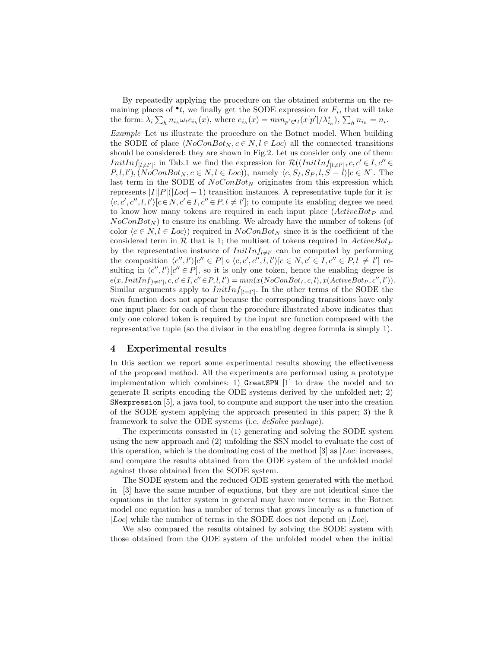By repeatedly applying the procedure on the obtained subterms on the remaining places of  $\bullet t$ , we finally get the SODE expression for  $F_i$ , that will take the form:  $\lambda_i \sum_h n_{i_h} \omega_t e_{i_h}(x)$ , where  $e_{i_h}(x) = min_{p' \in \mathcal{I}}(x[p']/\lambda_{i_h}^*), \sum_h n_{i_h} = n_i$ . Example Let us illustrate the procedure on the Botnet model. When building the SODE of place  $\langle NoConBot_N, c \in N, l \in Loc \rangle$  all the connected transitions should be considered: they are shown in Fig.2. Let us consider only one of them: *InitInf*<sub>[l≠l'</sub>]: in Tab.1 we find the expression for  $\mathcal{R}((InitInf_{[l \neq l']}, c, c' \in I, c'' \in I))$  $P, l, l', \langle NoConBot_N, c \in N, l \in Loc) \rangle$ , namely  $\langle c, S_I, S_P, l, S - l \rangle [c \in N]$ . The last term in the SODE of  $NoConBot<sub>N</sub>$  originates from this expression which represents  $|I||P|(|Loc|-1)$  transition instances. A representative tuple for it is:  $\langle c, c', c'', l, l' \rangle [c \in N, c' \in I, c'' \in P, l \neq l']$ ; to compute its enabling degree we need to know how many tokens are required in each input place  $(ActiveBot<sub>P</sub>)$  and  $NoConBot_N$ ) to ensure its enabling. We already have the number of tokens (of color  $\langle c \in N, l \in Loc \rangle$  required in  $NoConBot_N$  since it is the coefficient of the considered term in  $\mathcal R$  that is 1; the multiset of tokens required in  $ActiveBot_P$ by the representative instance of  $InitInf_{l\neq l'}$  can be computed by performing the composition  $\langle c'', l' \rangle [c'' \in P] \circ \langle c, c', c'', l, l' \rangle [c \in N, c' \in I, c'' \in P, l \neq l']$  resulting in  $\langle c'', l' \rangle [c'' \in P]$ , so it is only one token, hence the enabling degree is  $e(x,InitInf_{[l \neq l']}, c, c' \in I, c'' \in P, l, l') = min(x(NoConBot<sub>I</sub>, c, l), x(ActiveBot<sub>P</sub>, c'', l')).$ Similar arguments apply to  $InitInf_{[l=l']}$ . In the other terms of the SODE the min function does not appear because the corresponding transitions have only one input place: for each of them the procedure illustrated above indicates that only one colored token is required by the input arc function composed with the representative tuple (so the divisor in the enabling degree formula is simply 1).

# 4 Experimental results

In this section we report some experimental results showing the effectiveness of the proposed method. All the experiments are performed using a prototype implementation which combines: 1) GreatSPN [1] to draw the model and to generate R scripts encoding the ODE systems derived by the unfolded net; 2) SNexpression [5], a java tool, to compute and support the user into the creation of the SODE system applying the approach presented in this paper; 3) the R framework to solve the ODE systems (i.e. *deSolve package*).

The experiments consisted in (1) generating and solving the SODE system using the new approach and (2) unfolding the SSN model to evaluate the cost of this operation, which is the dominating cost of the method [3] as  $|Loc|$  increases, and compare the results obtained from the ODE system of the unfolded model against those obtained from the SODE system.

The SODE system and the reduced ODE system generated with the method in [3] have the same number of equations, but they are not identical since the equations in the latter system in general may have more terms: in the Botnet model one equation has a number of terms that grows linearly as a function of |Loc| while the number of terms in the SODE does not depend on  $|Loc|$ .

We also compared the results obtained by solving the SODE system with those obtained from the ODE system of the unfolded model when the initial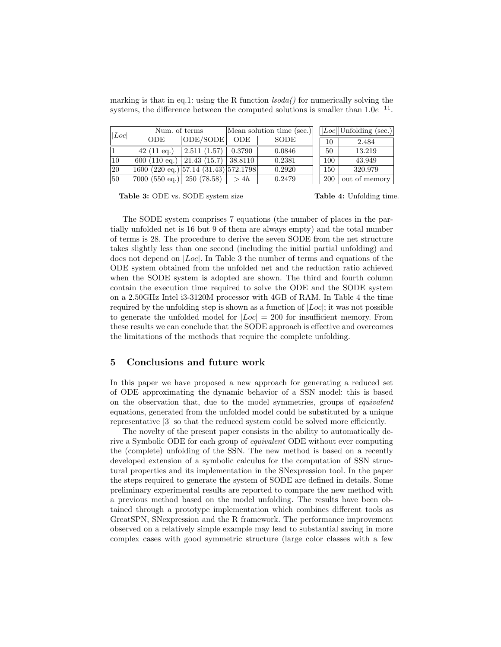| marking is that in eq.1: using the R function $lsoda()$ for numerically solving the   |  |  |  |  |  |
|---------------------------------------------------------------------------------------|--|--|--|--|--|
| systems, the difference between the computed solutions is smaller than $1.0e^{-11}$ . |  |  |  |  |  |

| Loc             | Num. of terms                                      |                          |        | Mean solution time (sec.) | $ Loc $ Unfolding (sec.) |               |  |
|-----------------|----------------------------------------------------|--------------------------|--------|---------------------------|--------------------------|---------------|--|
|                 | <b>ODE</b>                                         | $\vert$ ODE/SODE $\vert$ | ODE.   | SODE                      | 10                       | 2.484         |  |
| 11.             | $42(11 \text{ eq.})$                               | 2.511(1.57)              | 0.3790 | 0.0846                    | 50                       | 13.219        |  |
| 10              | 600 (110 eq.)   21.43 (15.7)   38.8110             |                          |        | 0.2381                    | 100                      | 43.949        |  |
| $ 20\rangle$    | $1600 (220 \text{ eq.}) [57.14 (31.43) [572.1798]$ |                          |        | 0.2920                    | 150                      | 320.979       |  |
| $\overline{50}$ | $ 7000 \ (550 \text{ eq.}) $ 250 (78.58)           |                          | > 4h   | 0.2479                    | 200                      | out of memory |  |

Table 3: ODE vs. SODE system size

Table 4: Unfolding time.

The SODE system comprises 7 equations (the number of places in the partially unfolded net is 16 but 9 of them are always empty) and the total number of terms is 28. The procedure to derive the seven SODE from the net structure takes slightly less than one second (including the initial partial unfolding) and does not depend on  $|Loc|$ . In Table 3 the number of terms and equations of the ODE system obtained from the unfolded net and the reduction ratio achieved when the SODE system is adopted are shown. The third and fourth column contain the execution time required to solve the ODE and the SODE system on a 2.50GHz Intel i3-3120M processor with 4GB of RAM. In Table 4 the time required by the unfolding step is shown as a function of  $|Loc|$ ; it was not possible to generate the unfolded model for  $|Loc| = 200$  for insufficient memory. From these results we can conclude that the SODE approach is effective and overcomes the limitations of the methods that require the complete unfolding.

## 5 Conclusions and future work

In this paper we have proposed a new approach for generating a reduced set of ODE approximating the dynamic behavior of a SSN model: this is based on the observation that, due to the model symmetries, groups of equivalent equations, generated from the unfolded model could be substituted by a unique representative [3] so that the reduced system could be solved more efficiently.

The novelty of the present paper consists in the ability to automatically derive a Symbolic ODE for each group of equivalent ODE without ever computing the (complete) unfolding of the SSN. The new method is based on a recently developed extension of a symbolic calculus for the computation of SSN structural properties and its implementation in the SNexpression tool. In the paper the steps required to generate the system of SODE are defined in details. Some preliminary experimental results are reported to compare the new method with a previous method based on the model unfolding. The results have been obtained through a prototype implementation which combines different tools as GreatSPN, SNexpression and the R framework. The performance improvement observed on a relatively simple example may lead to substantial saving in more complex cases with good symmetric structure (large color classes with a few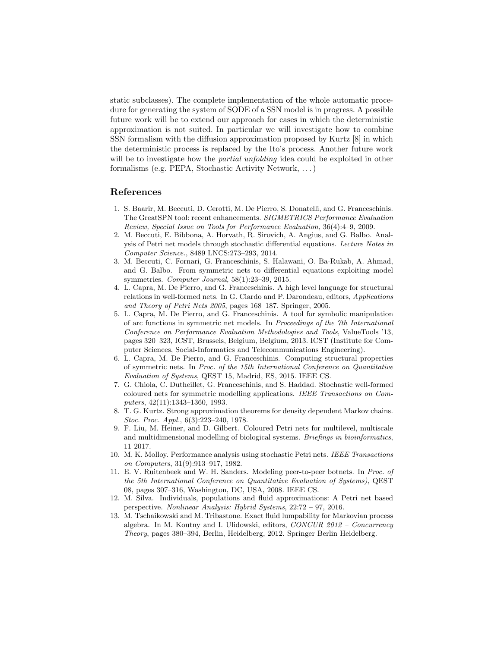static subclasses). The complete implementation of the whole automatic procedure for generating the system of SODE of a SSN model is in progress. A possible future work will be to extend our approach for cases in which the deterministic approximation is not suited. In particular we will investigate how to combine SSN formalism with the diffusion approximation proposed by Kurtz [8] in which the deterministic process is replaced by the Ito's process. Another future work will be to investigate how the *partial unfolding* idea could be exploited in other formalisms (e.g. PEPA, Stochastic Activity Network, . . . )

#### References

- 1. S. Baarir, M. Beccuti, D. Cerotti, M. De Pierro, S. Donatelli, and G. Franceschinis. The GreatSPN tool: recent enhancements. SIGMETRICS Performance Evaluation Review, Special Issue on Tools for Performance Evaluation, 36(4):4–9, 2009.
- 2. M. Beccuti, E. Bibbona, A. Horvath, R. Sirovich, A. Angius, and G. Balbo. Analysis of Petri net models through stochastic differential equations. Lecture Notes in Computer Science., 8489 LNCS:273–293, 2014.
- 3. M. Beccuti, C. Fornari, G. Franceschinis, S. Halawani, O. Ba-Rukab, A. Ahmad, and G. Balbo. From symmetric nets to differential equations exploiting model symmetries. Computer Journal, 58(1):23–39, 2015.
- 4. L. Capra, M. De Pierro, and G. Franceschinis. A high level language for structural relations in well-formed nets. In G. Ciardo and P. Darondeau, editors, Applications and Theory of Petri Nets 2005, pages 168–187. Springer, 2005.
- 5. L. Capra, M. De Pierro, and G. Franceschinis. A tool for symbolic manipulation of arc functions in symmetric net models. In Proceedings of the 7th International Conference on Performance Evaluation Methodologies and Tools, ValueTools '13, pages 320–323, ICST, Brussels, Belgium, Belgium, 2013. ICST (Institute for Computer Sciences, Social-Informatics and Telecommunications Engineering).
- 6. L. Capra, M. De Pierro, and G. Franceschinis. Computing structural properties of symmetric nets. In Proc. of the 15th International Conference on Quantitative Evaluation of Systems, QEST 15, Madrid, ES, 2015. IEEE CS.
- 7. G. Chiola, C. Dutheillet, G. Franceschinis, and S. Haddad. Stochastic well-formed coloured nets for symmetric modelling applications. IEEE Transactions on Computers, 42(11):1343–1360, 1993.
- 8. T. G. Kurtz. Strong approximation theorems for density dependent Markov chains. Stoc. Proc. Appl., 6(3):223–240, 1978.
- 9. F. Liu, M. Heiner, and D. Gilbert. Coloured Petri nets for multilevel, multiscale and multidimensional modelling of biological systems. Briefings in bioinformatics, 11 2017.
- 10. M. K. Molloy. Performance analysis using stochastic Petri nets. IEEE Transactions on Computers, 31(9):913–917, 1982.
- 11. E. V. Ruitenbeek and W. H. Sanders. Modeling peer-to-peer botnets. In Proc. of the 5th International Conference on Quantitative Evaluation of Systems), QEST 08, pages 307–316, Washington, DC, USA, 2008. IEEE CS.
- 12. M. Silva. Individuals, populations and fluid approximations: A Petri net based perspective. Nonlinear Analysis: Hybrid Systems, 22:72 – 97, 2016.
- 13. M. Tschaikowski and M. Tribastone. Exact fluid lumpability for Markovian process algebra. In M. Koutny and I. Ulidowski, editors, CONCUR 2012 – Concurrency Theory, pages 380–394, Berlin, Heidelberg, 2012. Springer Berlin Heidelberg.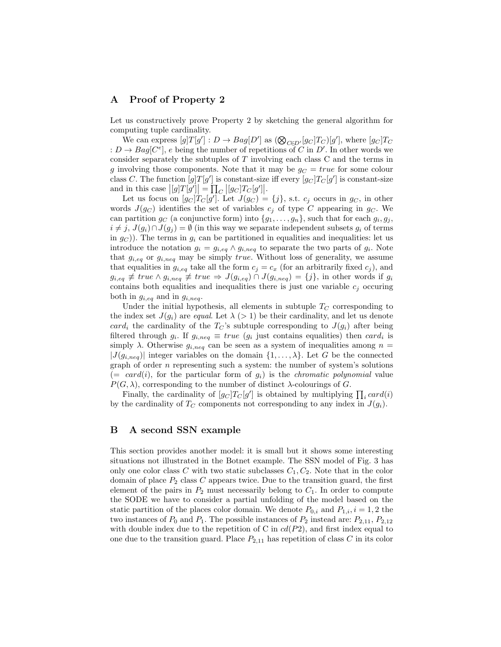# A Proof of Property 2

Let us constructively prove Property 2 by sketching the general algorithm for computing tuple cardinality.

We can express  $[g]T[g'] : D \to Bag[D']$  as  $(\bigotimes_{C \in D'} [g_C]T_C)[g']$ , where  $[g_C]T_C$ :  $D \to Bag[C^e], e$  being the number of repetitions of C in D'. In other words we consider separately the subtuples of  $T$  involving each class  $C$  and the terms in g involving those components. Note that it may be  $g_C = true$  for some colour class C. The function  $[g]T[g']$  is constant-size iff every  $[g_C]T_C[g']$  is constant-size and in this case  $\left|[g]T[g']\right] = \prod_{C} \left|[g_C]T_C[g']\right].$ 

Let us focus on  $[g_C]T_C[g']$ . Let  $J(g_C) = \{j\}$ , s.t.  $c_j$  occurs in  $g_C$ , in other words  $J(g_C)$  identifies the set of variables  $c_j$  of type C appearing in  $g_C$ . We can partition  $g_C$  (a conjunctive form) into  $\{g_1, \ldots, g_n\}$ , such that for each  $g_i, g_j$ ,  $i \neq j$ ,  $J(g_i) \cap J(g_j) = \emptyset$  (in this way we separate independent subsets  $g_i$  of terms in  $g_C$ )). The terms in  $g_i$  can be partitioned in equalities and inequalities: let us introduce the notation  $g_i = g_{i,eq} \wedge g_{i,neq}$  to separate the two parts of  $g_i$ . Note that  $g_{i,eq}$  or  $g_{i,neq}$  may be simply *true*. Without loss of generality, we assume that equalities in  $g_{i,eq}$  take all the form  $c_j = c_x$  (for an arbitrarily fixed  $c_j$ ), and  $g_{i,eq} \not\equiv true \wedge g_{i,neq} \not\equiv true \Rightarrow J(g_{i,eq}) \cap J(g_{i,neq}) = \{j\},\$ in other words if  $g_i$ contains both equalities and inequalities there is just one variable  $c_j$  occuring both in  $g_{i,eq}$  and in  $g_{i,neq}$ .

Under the initial hypothesis, all elements in subtuple  $T_C$  corresponding to the index set  $J(g_i)$  are equal. Let  $\lambda$  (> 1) be their cardinality, and let us denote card<sub>i</sub> the cardinality of the  $T_{\rm C}$ 's subtuple corresponding to  $J(g_i)$  after being filtered through  $g_i$ . If  $g_{i,neq} \equiv true$  ( $g_i$  just contains equalities) then  $card_i$  is simply  $\lambda$ . Otherwise  $g_{i,neq}$  can be seen as a system of inequalities among  $n =$  $|J(g_{i,neg})|$  integer variables on the domain  $\{1,\ldots,\lambda\}$ . Let G be the connected graph of order  $n$  representing such a system: the number of system's solutions  $(= \; card(i), \; \text{for the particular form of } g_i)$  is the *chromatic polynomial* value  $P(G, \lambda)$ , corresponding to the number of distinct  $\lambda$ -colourings of G.

Finally, the cardinality of  $[g_C]T_C[g']$  is obtained by multiplying  $\prod_i card(i)$ by the cardinality of  $T_C$  components not corresponding to any index in  $J(g_i)$ .

# B A second SSN example

This section provides another model: it is small but it shows some interesting situations not illustrated in the Botnet example. The SSN model of Fig. 3 has only one color class C with two static subclasses  $C_1, C_2$ . Note that in the color domain of place  $P_2$  class C appears twice. Due to the transition guard, the first element of the pairs in  $P_2$  must necessarily belong to  $C_1$ . In order to compute the SODE we have to consider a partial unfolding of the model based on the static partition of the places color domain. We denote  $P_{0,i}$  and  $P_{1,i}$ ,  $i = 1, 2$  the two instances of  $P_0$  and  $P_1$ . The possible instances of  $P_2$  instead are:  $P_{2,11}$ ,  $P_{2,12}$ with double index due to the repetition of C in  $cd(P2)$ , and first index equal to one due to the transition guard. Place  $P_{2,11}$  has repetition of class C in its color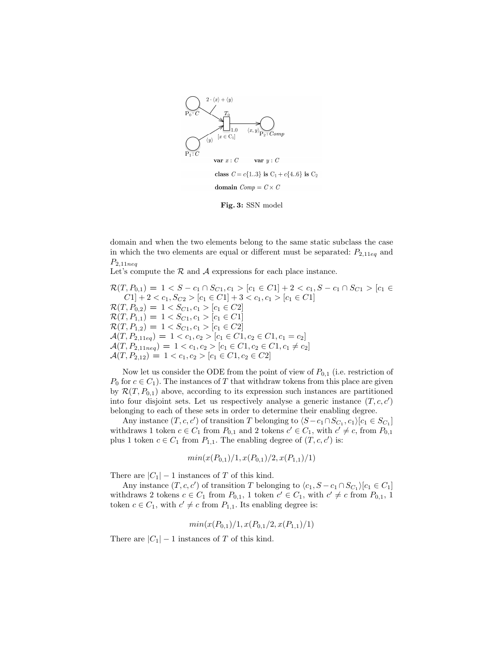

Fig. 3: SSN model

domain and when the two elements belong to the same static subclass the case in which the two elements are equal or different must be separated:  $P_{2,11eq}$  and  $P_{2,11neq}$ 

Let's compute the  $R$  and  $A$  expressions for each place instance.

 $\mathcal{R}(T, P_{0,1}) = 1 < S - c_1 \cap S_{C_1}, c_1 > [c_1 \in C_1] + 2 < c_1, S - c_1 \cap S_{C_1} > [c_1 \in C_1]$  $C1] + 2 < c_1, S_{C2} > [c_1 \in C1] + 3 < c_1, c_1 > [c_1 \in C1]$  $\mathcal{R}(T, P_{0,2}) = 1 < S_{C1}, c_1 > [c_1 \in C2]$  $\mathcal{R}(T, P_{1,1}) = 1 < S_{C1}, c_1 > [c_1 \in C1]$  $\mathcal{R}(T, P_{1,2}) = 1 < S_{C1}, c_1 > [c_1 \in C2]$  $\mathcal{A}(T, P_{2,11eq}) = 1 < c_1, c_2 > [c_1 \in C_1, c_2 \in C_1, c_1 = c_2]$  $\mathcal{A}(T, P_{2,11neg}) = 1 < c_1, c_2 > [c_1 \in C_1, c_2 \in C_1, c_1 \neq c_2]$  $\mathcal{A}(T, P_{2,12}) = 1 < c_1, c_2 > [c_1 \in C_1, c_2 \in C_2]$ 

Now let us consider the ODE from the point of view of  $P_{0,1}$  (i.e. restriction of  $P_0$  for  $c \in C_1$ ). The instances of T that withdraw tokens from this place are given by  $\mathcal{R}(T, P_{0,1})$  above, according to its expression such instances are partitioned into four disjoint sets. Let us respectively analyse a generic instance  $(T, c, c')$ belonging to each of these sets in order to determine their enabling degree.

Any instance  $(T, c, c')$  of transition T belonging to  $\langle S - c_1 \cap S_{C_1}, c_1 \rangle [c_1 \in S_{C_1}]$ withdraws 1 token  $c \in C_1$  from  $P_{0,1}$  and 2 tokens  $c' \in C_1$ , with  $c' \neq c$ , from  $P_{0,1}$ plus 1 token  $c \in C_1$  from  $P_{1,1}$ . The enabling degree of  $(T, c, c')$  is:

$$
min(x(P_{0,1})/1, x(P_{0,1})/2, x(P_{1,1})/1)
$$

There are  $|C_1| - 1$  instances of T of this kind.

Any instance  $(T, c, c')$  of transition T belonging to  $\langle c_1, S - c_1 \cap S_{C_1} \rangle [c_1 \in C_1]$ withdraws 2 tokens  $c \in C_1$  from  $P_{0,1}$ , 1 token  $c' \in C_1$ , with  $c' \neq c$  from  $P_{0,1}$ , 1 token  $c \in C_1$ , with  $c' \neq c$  from  $P_{1,1}$ . Its enabling degree is:

$$
min(x(P_{0,1})/1, x(P_{0,1}/2, x(P_{1,1})/1)
$$

There are  $|C_1| - 1$  instances of T of this kind.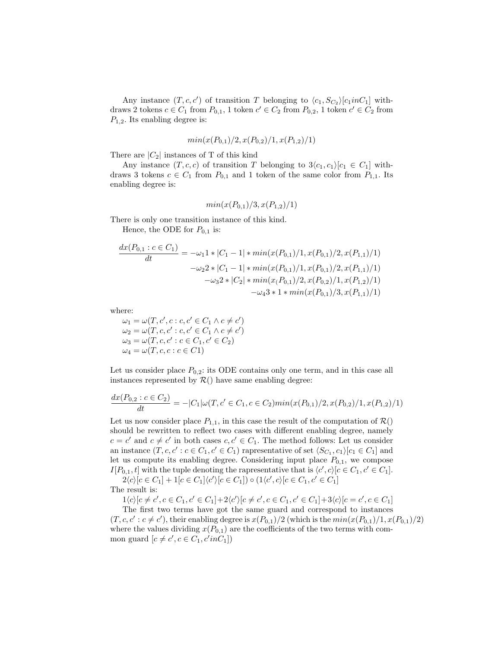Any instance  $(T, c, c')$  of transition T belonging to  $\langle c_1, S_{C_2} \rangle [c_1 in C_1]$  withdraws 2 tokens  $c \in C_1$  from  $P_{0,1}$ , 1 token  $c' \in C_2$  from  $P_{0,2}$ , 1 token  $c' \in C_2$  from  $P_{1,2}$ . Its enabling degree is:

$$
min(x(P_{0,1})/2, x(P_{0,2})/1, x(P_{1,2})/1)
$$

There are  $|C_2|$  instances of T of this kind

Any instance  $(T, c, c)$  of transition T belonging to  $3\langle c_1, c_1\rangle [c_1 \in C_1]$  withdraws 3 tokens  $c \in C_1$  from  $P_{0,1}$  and 1 token of the same color from  $P_{1,1}$ . Its enabling degree is:

$$
min(x(P_{0,1})/3, x(P_{1,2})/1)
$$

There is only one transition instance of this kind.

Hence, the ODE for  $P_{0,1}$  is:

$$
\frac{dx(P_{0,1}:c \in C_1)}{dt} = -\omega_1 1 * |C_1 - 1| * min(x(P_{0,1})/1, x(P_{0,1})/2, x(P_{1,1})/1)
$$

$$
-\omega_2 2 * |C_1 - 1| * min(x(P_{0,1})/1, x(P_{0,1})/2, x(P_{1,1})/1)
$$

$$
-\omega_3 2 * |C_2| * min(x(P_{0,1})/2, x(P_{0,2})/1, x(P_{1,2})/1)
$$

$$
-\omega_4 3 * 1 * min(x(P_{0,1})/3, x(P_{1,1})/1)
$$

where:

 $\omega_1 = \omega(T, c', c : c, c' \in C_1 \land c \neq c')$  $\omega_2 = \omega(T, c, c' : c, c' \in C_1 \land c \neq c')$  $\omega_3 = \omega(T, c, c' : c \in C_1, c' \in C_2)$  $\omega_4 = \omega(T, c, c : c \in C1)$ 

Let us consider place  $P_{0,2}$ : its ODE contains only one term, and in this case all instances represented by  $\mathcal{R}()$  have same enabling degree:

$$
\frac{dx(P_{0,2}:c\in C_2)}{dt} = -|C_1|\omega(T,c'\in C_1, c\in C_2)\min(x(P_{0,1})/2, x(P_{0,2})/1, x(P_{1,2})/1)
$$

Let us now consider place  $P_{1,1}$ , in this case the result of the computation of  $\mathcal{R}()$ should be rewritten to reflect two cases with different enabling degree, namely  $c = c'$  and  $c \neq c'$  in both cases  $c, c' \in C_1$ . The method follows: Let us consider an instance  $(T, c, c' : c \in C_1, c' \in C_1)$  rapresentative of set  $\langle S_{C_1}, c_1 \rangle [c_1 \in C_1]$  and let us compute its enabling degree. Considering input place  $P_{0,1}$ , we compose  $I[P_{0,1}, t]$  with the tuple denoting the rapresentative that is  $\langle c', c \rangle [c \in C_1, c' \in C_1]$ .

 $2\langle c \rangle [c \in C_1] + 1[c \in C_1] \langle c' \rangle [c \in C_1]) \circ (1\langle c', c \rangle [c \in C_1, c' \in C_1]$ The result is:

 $1\langle c \rangle [c \neq c', c \in C_1, c' \in C_1] + 2\langle c' \rangle [c \neq c', c \in C_1, c' \in C_1] + 3\langle c \rangle [c = c', c \in C_1]$ 

The first two terms have got the same guard and correspond to instances  $(T, c, c': c \neq c'$ , their enabling degree is  $x(P_{0,1})/2$  (which is the  $min(x(P_{0,1})/1, x(P_{0,1})/2)$ where the values dividing  $x(P_{0,1})$  are the coefficients of the two terms with common guard  $[c \neq c', c \in C_1, c' \in C_1]$